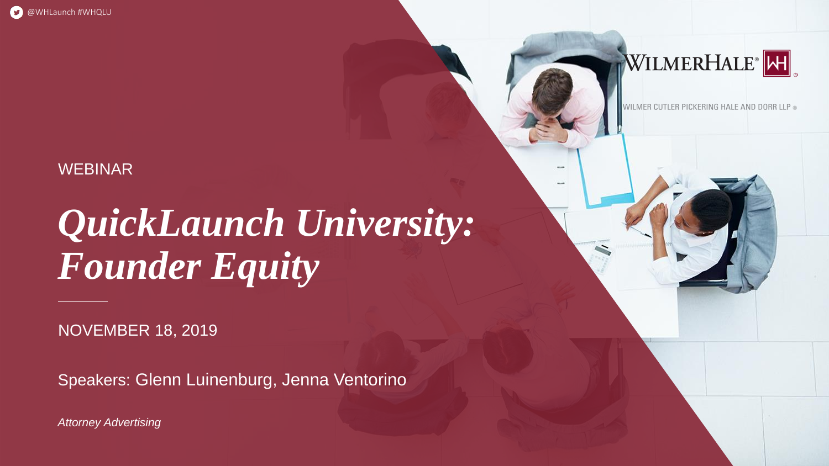# *QuickLaunch University: Founder Equity*

Speakers: Glenn Luinenburg, Jenna Ventorino

NOVEMBER 18, 2019

### WEBINAR

*Attorney Advertising*

### WILMERHALE<sup>®</sup>

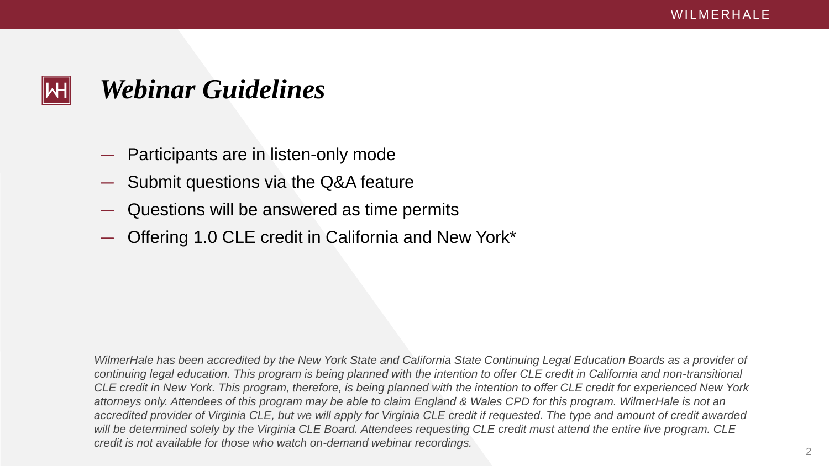- Participants are in listen-only mode
- Submit questions via the Q&A feature
- Questions will be answered as time permits
- Offering 1.0 CLE credit in California and New York\*



## *Webinar Guidelines*

*WilmerHale has been accredited by the New York State and California State Continuing Legal Education Boards as a provider of continuing legal education. This program is being planned with the intention to offer CLE credit in California and non-transitional CLE credit in New York. This program, therefore, is being planned with the intention to offer CLE credit for experienced New York attorneys only. Attendees of this program may be able to claim England & Wales CPD for this program. WilmerHale is not an*  accredited provider of Virginia CLE, but we will apply for Virginia CLE credit if requested. The type and amount of credit awarded *will be determined solely by the Virginia CLE Board. Attendees requesting CLE credit must attend the entire live program. CLE credit is not available for those who watch on-demand webinar recordings.*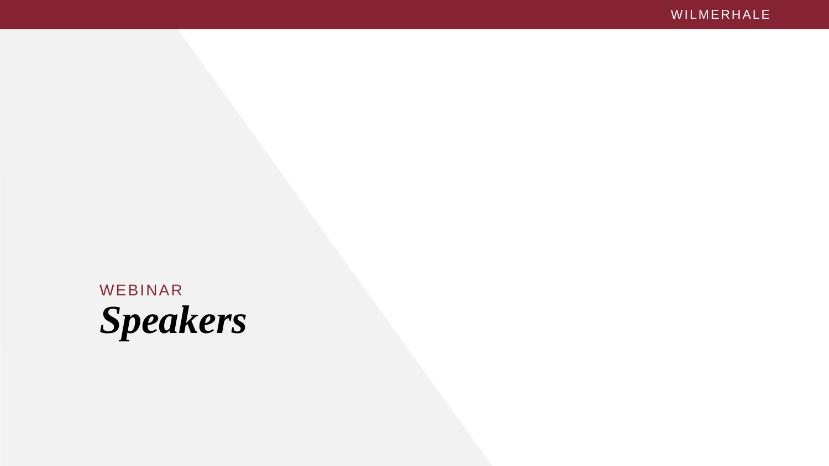WEBINAR *Speakers*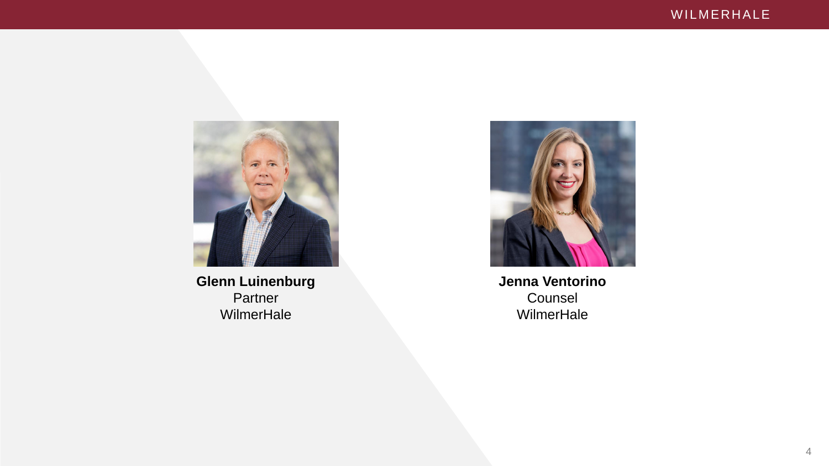

**Glenn Luinenburg** Partner **WilmerHale** 



**Jenna Ventorino** Counsel WilmerHale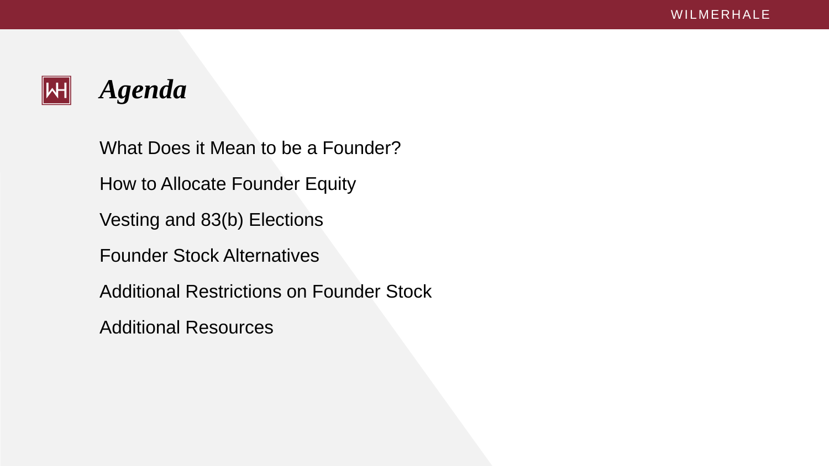

### *Agenda*

What Does it Mean to be a Founder? How to Allocate Founder Equity Vesting and 83(b) Elections Founder Stock Alternatives Additional Restrictions on Founder Stock Additional Resources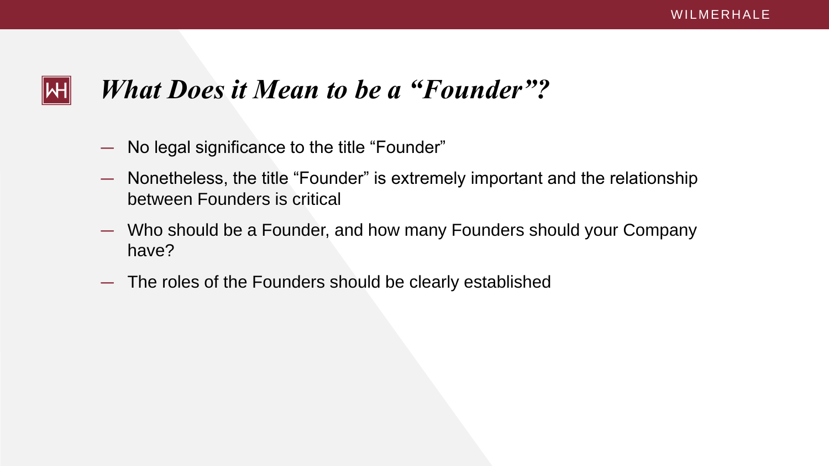## WH

## *What Does it Mean to be a "Founder"?*

- No legal significance to the title "Founder"
- Nonetheless, the title "Founder" is extremely important and the relationship between Founders is critical
- Who should be a Founder, and how many Founders should your Company have?
- The roles of the Founders should be clearly established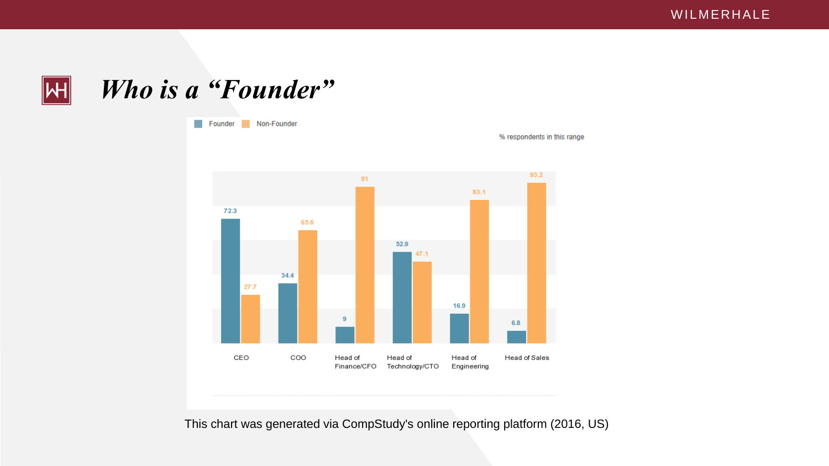

*Who is a "Founder"* 



This chart was generated via CompStudy's online reporting platform (2016, US)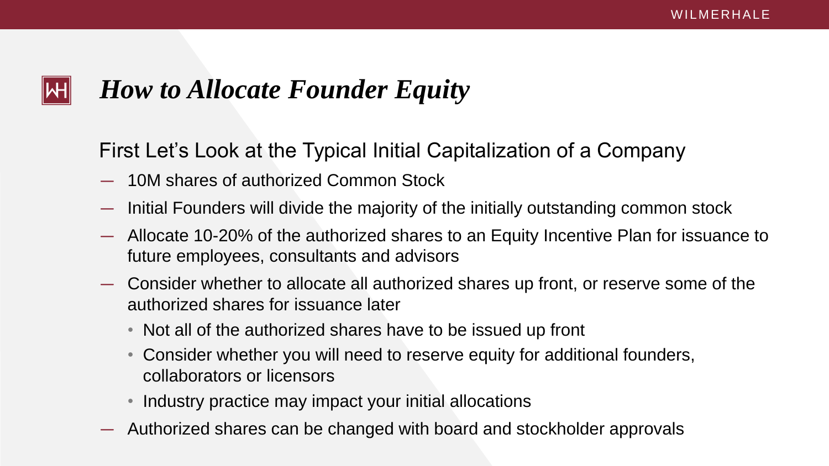## ΝН

## *How to Allocate Founder Equity*

First Let's Look at the Typical Initial Capitalization of a Company

- 10M shares of authorized Common Stock
- Initial Founders will divide the majority of the initially outstanding common stock
- Allocate 10-20% of the authorized shares to an Equity Incentive Plan for issuance to future employees, consultants and advisors
- Consider whether to allocate all authorized shares up front, or reserve some of the authorized shares for issuance later
	- Not all of the authorized shares have to be issued up front
	- Consider whether you will need to reserve equity for additional founders, collaborators or licensors
	- Industry practice may impact your initial allocations
- Authorized shares can be changed with board and stockholder approvals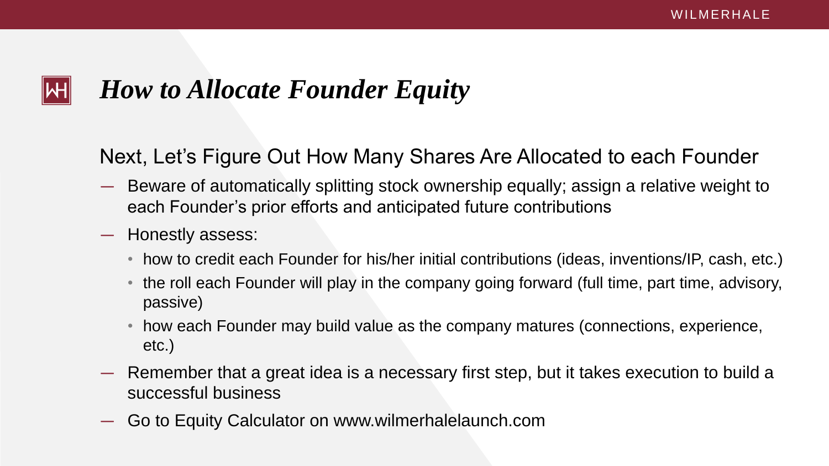## *How to Allocate Founder Equity*

Next, Let's Figure Out How Many Shares Are Allocated to each Founder

- Beware of automatically splitting stock ownership equally; assign a relative weight to each Founder's prior efforts and anticipated future contributions
- Honestly assess:
	- how to credit each Founder for his/her initial contributions (ideas, inventions/IP, cash, etc.)
	- the roll each Founder will play in the company going forward (full time, part time, advisory, passive)
	- how each Founder may build value as the company matures (connections, experience, etc.)
- Remember that a great idea is a necessary first step, but it takes execution to build a successful business
- Go to Equity Calculator on www.wilmerhalelaunch.com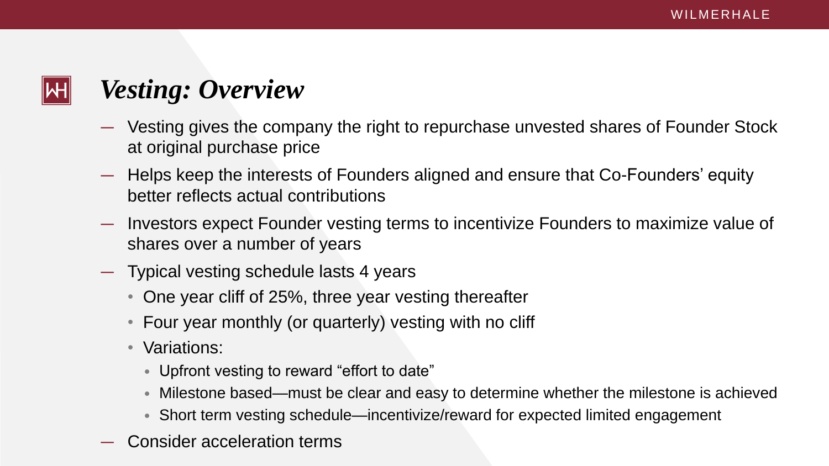- Vesting gives the company the right to repurchase unvested shares of Founder Stock at original purchase price
- Helps keep the interests of Founders aligned and ensure that Co-Founders' equity better reflects actual contributions
- Investors expect Founder vesting terms to incentivize Founders to maximize value of shares over a number of years
- Typical vesting schedule lasts 4 years
	- One year cliff of 25%, three year vesting thereafter
	- Four year monthly (or quarterly) vesting with no cliff
	- Variations:
		- Upfront vesting to reward "effort to date"
		- Milestone based—must be clear and easy to determine whether the milestone is achieved
		- Short term vesting schedule—incentivize/reward for expected limited engagement
- Consider acceleration terms



## *Vesting: Overview*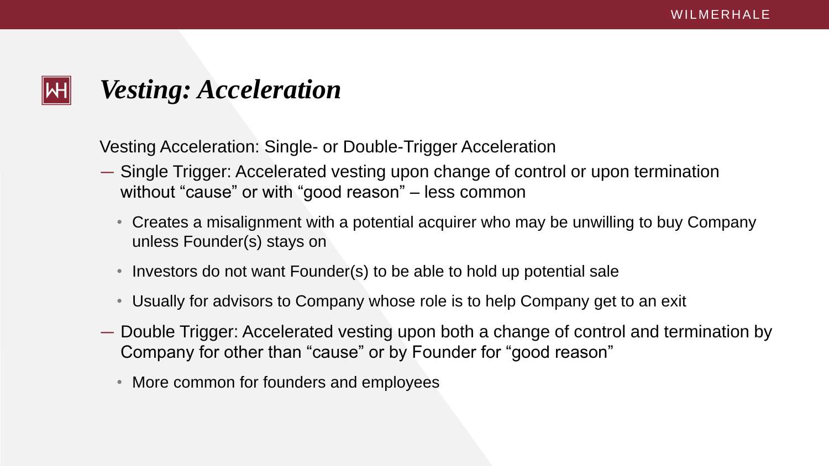

## *Vesting: Acceleration*

- Single Trigger: Accelerated vesting upon change of control or upon termination without "cause" or with "good reason" – less common
	- Creates a misalignment with a potential acquirer who may be unwilling to buy Company unless Founder(s) stays on
	- Investors do not want Founder(s) to be able to hold up potential sale
	- Usually for advisors to Company whose role is to help Company get to an exit
- Double Trigger: Accelerated vesting upon both a change of control and termination by Company for other than "cause" or by Founder for "good reason"
	- More common for founders and employees

Vesting Acceleration: Single- or Double-Trigger Acceleration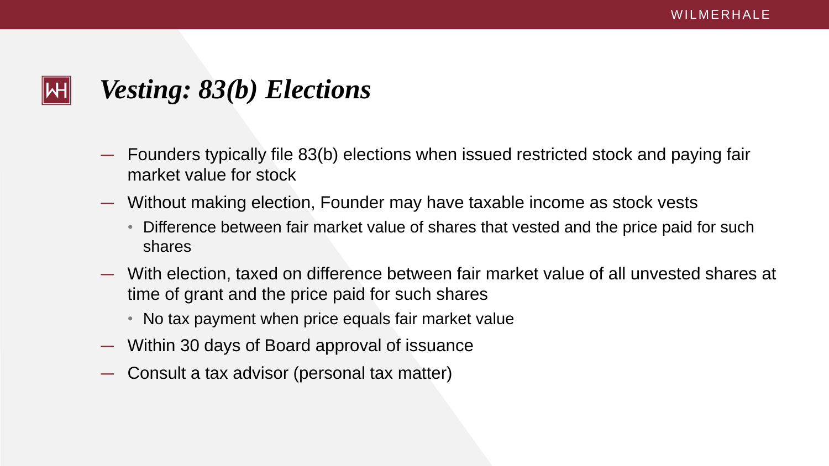- Founders typically file 83(b) elections when issued restricted stock and paying fair market value for stock
- Without making election, Founder may have taxable income as stock vests
	- Difference between fair market value of shares that vested and the price paid for such shares
- With election, taxed on difference between fair market value of all unvested shares at time of grant and the price paid for such shares
	- No tax payment when price equals fair market value
- Within 30 days of Board approval of issuance
- Consult a tax advisor (personal tax matter)



## *Vesting: 83(b) Elections*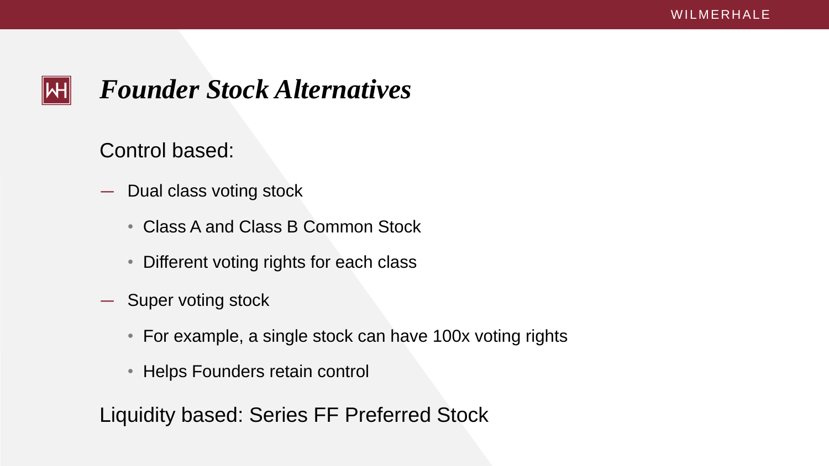

### *Founder Stock Alternatives*

- Dual class voting stock
	- Class A and Class B Common Stock
	- Different voting rights for each class
- Super voting stock
	- For example, a single stock can have 100x voting rights
	- Helps Founders retain control

Control based:

Liquidity based: Series FF Preferred Stock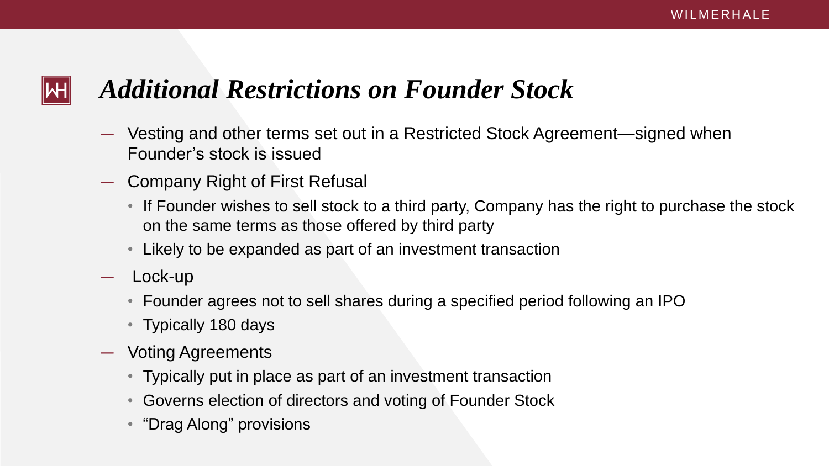- Vesting and other terms set out in a Restricted Stock Agreement—signed when Founder's stock is issued
- Company Right of First Refusal
	- If Founder wishes to sell stock to a third party, Company has the right to purchase the stock on the same terms as those offered by third party
	- Likely to be expanded as part of an investment transaction
- Lock-up
	- Founder agrees not to sell shares during a specified period following an IPO
	- Typically 180 days
- Voting Agreements
	- Typically put in place as part of an investment transaction
	- Governs election of directors and voting of Founder Stock
	- "Drag Along" provisions

## *Additional Restrictions on Founder Stock*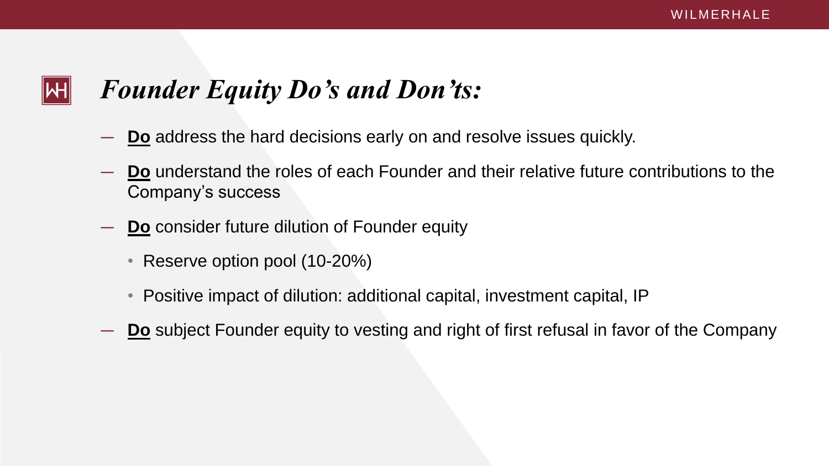## *Founder Equity Do's and Don'ts:*

ΝН

- **Do** address the hard decisions early on and resolve issues quickly.
- **Do** understand the roles of each Founder and their relative future contributions to the Company's success
- **Do** consider future dilution of Founder equity
	- Reserve option pool (10-20%)
	- Positive impact of dilution: additional capital, investment capital, IP
- **Do** subject Founder equity to vesting and right of first refusal in favor of the Company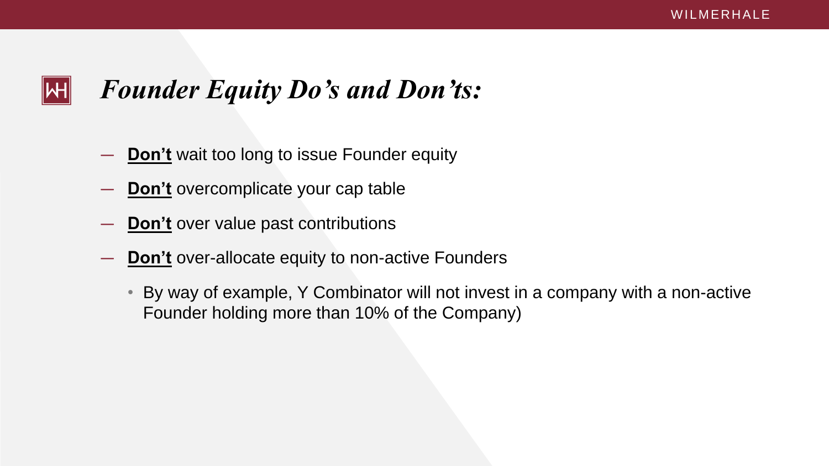## *Founder Equity Do's and Don'ts:*

- **Don't** wait too long to issue Founder equity
- **Don't** overcomplicate your cap table

WH

- **Don't** over value past contributions
- **Don't** over-allocate equity to non-active Founders
	- By way of example, Y Combinator will not invest in a company with a non-active Founder holding more than 10% of the Company)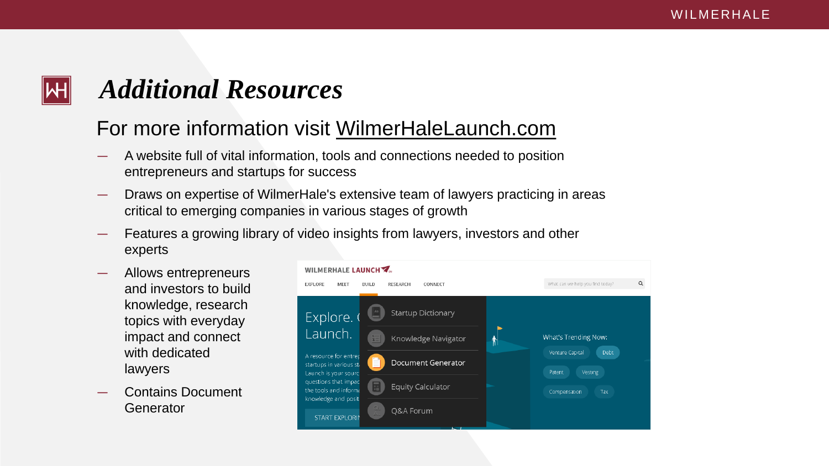## *Additional Resources*

- A website full of vital information, tools and connections needed to position entrepreneurs and startups for success
- Draws on expertise of WilmerHale's extensive team of lawyers practicing in areas critical to emerging companies in various stages of growth
- Features a growing library of video insights from lawyers, investors and other experts
- Allows entrepreneurs and investors to build knowledge, research topics with everyday impact and connect with dedicated lawyers
- Contains Document **Generator**



### For more information visit WilmerHaleLaunch.com